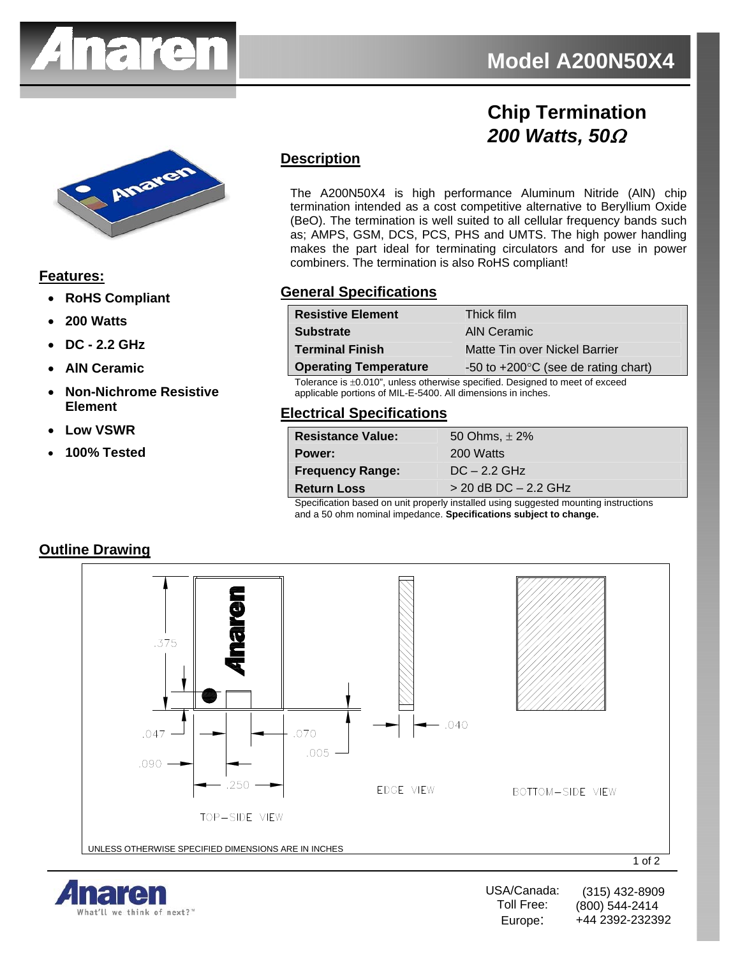

# **Chip Termination**  *200 Watts, 50*Ω



## **Features:**

- **RoHS Compliant**
- **200 Watts**
- **DC 2.2 GHz**
- **AlN Ceramic**
- **Non-Nichrome Resistive Element**
- **Low VSWR**
- **100% Tested**

# **Description**

The A200N50X4 is high performance Aluminum Nitride (AlN) chip termination intended as a cost competitive alternative to Beryllium Oxide (BeO). The termination is well suited to all cellular frequency bands such as; AMPS, GSM, DCS, PCS, PHS and UMTS. The high power handling makes the part ideal for terminating circulators and for use in power combiners. The termination is also RoHS compliant!

#### **General Specifications**

| <b>Resistive Element</b>     | Thick film                                    |
|------------------------------|-----------------------------------------------|
| <b>Substrate</b>             | AIN Ceramic                                   |
| <b>Terminal Finish</b>       | Matte Tin over Nickel Barrier                 |
| <b>Operating Temperature</b> | -50 to $+200^{\circ}$ C (see de rating chart) |

Tolerance is ±0.010", unless otherwise specified. Designed to meet of exceed applicable portions of MIL-E-5400. All dimensions in inches.

## **Electrical Specifications**

| <b>Resistance Value:</b> | 50 Ohms, $\pm 2\%$       |
|--------------------------|--------------------------|
| Power:                   | 200 Watts                |
| <b>Frequency Range:</b>  | $DC - 2.2 GHz$           |
| <b>Return Loss</b>       | $>$ 20 dB DC $-$ 2.2 GHz |
|                          |                          |

Specification based on unit properly installed using suggested mounting instructions and a 50 ohm nominal impedance. **Specifications subject to change.**